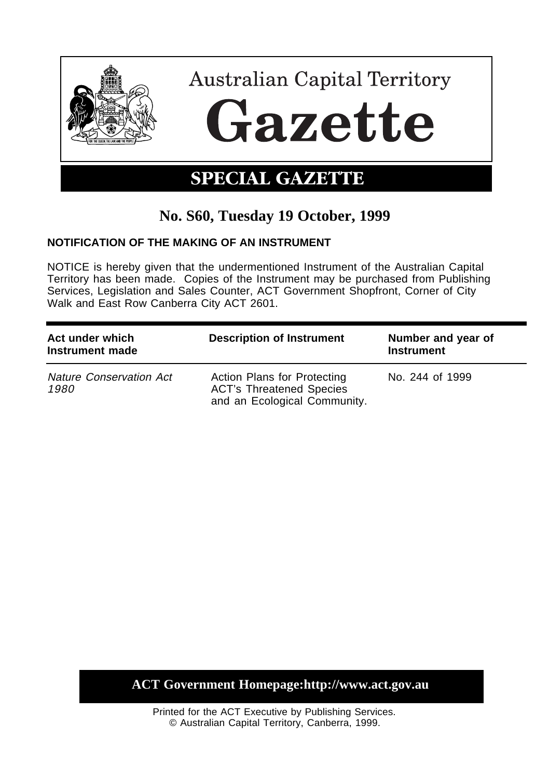

## **No. S60, Tuesday 19 October, 1999**

## **NOTIFICATION OF THE MAKING OF AN INSTRUMENT**

NOTICE is hereby given that the undermentioned Instrument of the Australian Capital Territory has been made. Copies of the Instrument may be purchased from Publishing Services, Legislation and Sales Counter, ACT Government Shopfront, Corner of City Walk and East Row Canberra City ACT 2601.

| Act under which<br>Instrument made     | <b>Description of Instrument</b>                                                               | Number and year of<br><b>Instrument</b> |
|----------------------------------------|------------------------------------------------------------------------------------------------|-----------------------------------------|
| <b>Nature Conservation Act</b><br>1980 | Action Plans for Protecting<br><b>ACT's Threatened Species</b><br>and an Ecological Community. | No. 244 of 1999                         |

## **ACT Government Homepage:http://www.act.gov.au**

Printed for the ACT Executive by Publishing Services. © Australian Capital Territory, Canberra, 1999.